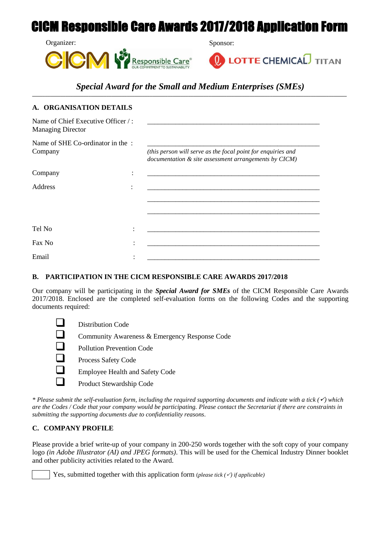# CICM Responsible Care Awards 2017/2018 Application Form





## *Special Award for the Small and Medium Enterprises (SMEs)* **\_\_\_\_\_\_\_\_\_\_\_\_\_\_\_\_\_\_\_\_\_\_\_\_\_\_\_\_\_\_\_\_\_\_\_\_\_\_\_\_\_\_\_\_\_\_\_\_\_\_\_\_\_\_\_\_\_\_\_\_\_\_\_\_\_\_\_\_\_\_\_\_\_\_\_\_\_\_\_\_\_\_\_\_\_\_\_\_\_\_\_\_\_\_\_\_\_\_\_\_\_\_\_\_\_\_\_\_\_\_\_\_\_\_\_\_\_\_\_\_\_\_\_**

| A. ORGANISATION DETAILS                                        |   |                                                                                                                       |
|----------------------------------------------------------------|---|-----------------------------------------------------------------------------------------------------------------------|
| Name of Chief Executive Officer /:<br><b>Managing Director</b> |   |                                                                                                                       |
| Name of SHE Co-ordinator in the:<br>Company                    |   | (this person will serve as the focal point for enquiries and<br>documentation & site assessment arrangements by CICM) |
| Company                                                        |   | <u> 1989 - John Stone, Amerikaansk politiker (* 1918)</u>                                                             |
| Address                                                        | ٠ | <u> 1980 - Johann John Stone, mars eta biztanleria (h. 1980).</u>                                                     |
|                                                                |   |                                                                                                                       |
| Tel No                                                         |   |                                                                                                                       |
| Fax No                                                         |   |                                                                                                                       |
| Email                                                          |   |                                                                                                                       |

## **B. PARTICIPATION IN THE CICM RESPONSIBLE CARE AWARDS 2017/2018**

Our company will be participating in the *Special Award for SMEs* of the CICM Responsible Care Awards 2017/2018. Enclosed are the completed self-evaluation forms on the following Codes and the supporting documents required:

| Distribution Code                             |
|-----------------------------------------------|
| Community Awareness & Emergency Response Code |
| <b>Pollution Prevention Code</b>              |
| Process Safety Code                           |
| <b>Employee Health and Safety Code</b>        |
| Product Stewardship Code                      |
|                                               |

*\* Please submit the self-evaluation form, including the required supporting documents and indicate with a tick () which are the Codes / Code that your company would be participating. Please contact the Secretariat if there are constraints in submitting the supporting documents due to confidentiality reasons.*

## **C. COMPANY PROFILE**

Please provide a brief write-up of your company in 200-250 words together with the soft copy of your company logo *(in Adobe Illustrator (AI) and JPEG formats)*. This will be used for the Chemical Industry Dinner booklet and other publicity activities related to the Award.

Yes, submitted together with this application form (*please tick*  $(\check{\phantom{a}})$  *if applicable*)